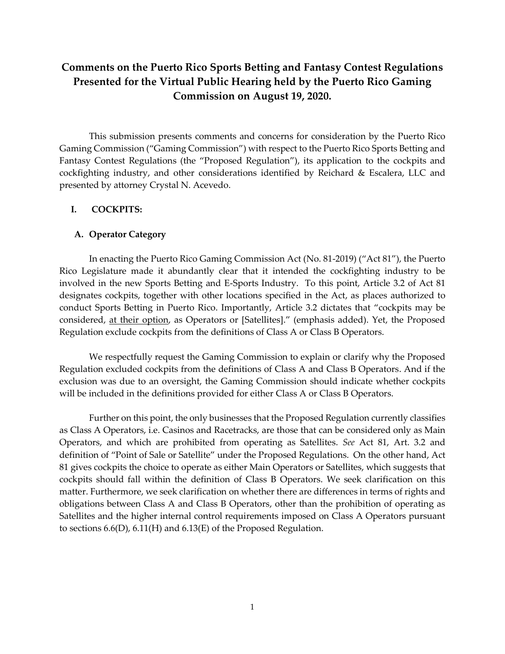# **Comments on the Puerto Rico Sports Betting and Fantasy Contest Regulations Presented for the Virtual Public Hearing held by the Puerto Rico Gaming Commission on August 19, 2020.**

This submission presents comments and concerns for consideration by the Puerto Rico Gaming Commission ("Gaming Commission") with respect to the Puerto Rico Sports Betting and Fantasy Contest Regulations (the "Proposed Regulation"), its application to the cockpits and cockfighting industry, and other considerations identified by Reichard & Escalera, LLC and presented by attorney Crystal N. Acevedo.

### **I. COCKPITS:**

### **A. Operator Category**

In enacting the Puerto Rico Gaming Commission Act (No. 81-2019) ("Act 81"), the Puerto Rico Legislature made it abundantly clear that it intended the cockfighting industry to be involved in the new Sports Betting and E-Sports Industry. To this point, Article 3.2 of Act 81 designates cockpits, together with other locations specified in the Act, as places authorized to conduct Sports Betting in Puerto Rico. Importantly, Article 3.2 dictates that "cockpits may be considered, at their option, as Operators or [Satellites]." (emphasis added). Yet, the Proposed Regulation exclude cockpits from the definitions of Class A or Class B Operators.

We respectfully request the Gaming Commission to explain or clarify why the Proposed Regulation excluded cockpits from the definitions of Class A and Class B Operators. And if the exclusion was due to an oversight, the Gaming Commission should indicate whether cockpits will be included in the definitions provided for either Class A or Class B Operators.

Further on this point, the only businesses that the Proposed Regulation currently classifies as Class A Operators, i.e. Casinos and Racetracks, are those that can be considered only as Main Operators, and which are prohibited from operating as Satellites. *See* Act 81, Art. 3.2 and definition of "Point of Sale or Satellite" under the Proposed Regulations. On the other hand, Act 81 gives cockpits the choice to operate as either Main Operators or Satellites, which suggests that cockpits should fall within the definition of Class B Operators. We seek clarification on this matter. Furthermore, we seek clarification on whether there are differences in terms of rights and obligations between Class A and Class B Operators, other than the prohibition of operating as Satellites and the higher internal control requirements imposed on Class A Operators pursuant to sections 6.6(D), 6.11(H) and 6.13(E) of the Proposed Regulation.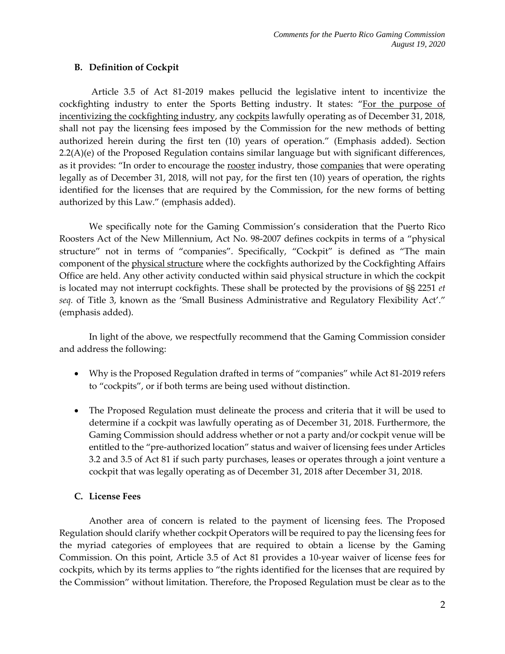# **B. Definition of Cockpit**

Article 3.5 of Act 81-2019 makes pellucid the legislative intent to incentivize the cockfighting industry to enter the Sports Betting industry. It states: "For the purpose of incentivizing the cockfighting industry, any cockpits lawfully operating as of December 31, 2018, shall not pay the licensing fees imposed by the Commission for the new methods of betting authorized herein during the first ten (10) years of operation." (Emphasis added). Section  $2.2(A)(e)$  of the Proposed Regulation contains similar language but with significant differences, as it provides: "In order to encourage the rooster industry, those companies that were operating legally as of December 31, 2018, will not pay, for the first ten (10) years of operation, the rights identified for the licenses that are required by the Commission, for the new forms of betting authorized by this Law." (emphasis added).

We specifically note for the Gaming Commission's consideration that the Puerto Rico Roosters Act of the New Millennium, Act No. 98-2007 defines cockpits in terms of a "physical structure" not in terms of "companies". Specifically, "Cockpit" is defined as "The main component of the physical structure where the cockfights authorized by the Cockfighting Affairs Office are held. Any other activity conducted within said physical structure in which the cockpit is located may not interrupt cockfights. These shall be protected by the provisions of §§ 2251 *et seq.* of Title 3, known as the 'Small Business Administrative and Regulatory Flexibility Act'." (emphasis added).

In light of the above, we respectfully recommend that the Gaming Commission consider and address the following:

- Why is the Proposed Regulation drafted in terms of "companies" while Act 81-2019 refers to "cockpits", or if both terms are being used without distinction.
- The Proposed Regulation must delineate the process and criteria that it will be used to determine if a cockpit was lawfully operating as of December 31, 2018. Furthermore, the Gaming Commission should address whether or not a party and/or cockpit venue will be entitled to the "pre-authorized location" status and waiver of licensing fees under Articles 3.2 and 3.5 of Act 81 if such party purchases, leases or operates through a joint venture a cockpit that was legally operating as of December 31, 2018 after December 31, 2018.

# **C. License Fees**

Another area of concern is related to the payment of licensing fees. The Proposed Regulation should clarify whether cockpit Operators will be required to pay the licensing fees for the myriad categories of employees that are required to obtain a license by the Gaming Commission. On this point, Article 3.5 of Act 81 provides a 10-year waiver of license fees for cockpits, which by its terms applies to "the rights identified for the licenses that are required by the Commission" without limitation. Therefore, the Proposed Regulation must be clear as to the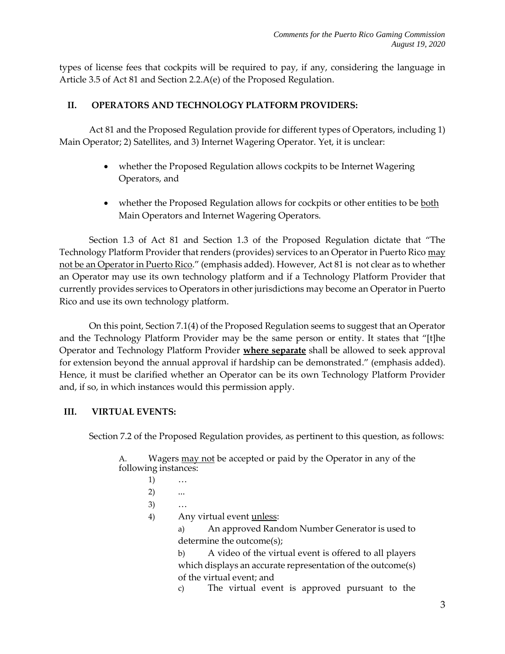types of license fees that cockpits will be required to pay, if any, considering the language in Article 3.5 of Act 81 and Section 2.2.A(e) of the Proposed Regulation.

# **II. OPERATORS AND TECHNOLOGY PLATFORM PROVIDERS:**

Act 81 and the Proposed Regulation provide for different types of Operators, including 1) Main Operator; 2) Satellites, and 3) Internet Wagering Operator. Yet, it is unclear:

- whether the Proposed Regulation allows cockpits to be Internet Wagering Operators, and
- whether the Proposed Regulation allows for cockpits or other entities to be both Main Operators and Internet Wagering Operators.

Section 1.3 of Act 81 and Section 1.3 of the Proposed Regulation dictate that "The Technology Platform Provider that renders (provides) services to an Operator in Puerto Rico may not be an Operator in Puerto Rico." (emphasis added). However, Act 81 is not clear as to whether an Operator may use its own technology platform and if a Technology Platform Provider that currently provides services to Operators in other jurisdictions may become an Operator in Puerto Rico and use its own technology platform.

On this point, Section 7.1(4) of the Proposed Regulation seems to suggest that an Operator and the Technology Platform Provider may be the same person or entity. It states that "[t]he Operator and Technology Platform Provider **where separate** shall be allowed to seek approval for extension beyond the annual approval if hardship can be demonstrated." (emphasis added). Hence, it must be clarified whether an Operator can be its own Technology Platform Provider and, if so, in which instances would this permission apply.

# **III. VIRTUAL EVENTS:**

Section 7.2 of the Proposed Regulation provides, as pertinent to this question, as follows:

A. Wagers may not be accepted or paid by the Operator in any of the following instances:

- 1) …
- 2) ...
- 3) …
- 4) Any virtual event <u>unless</u>:

a) An approved Random Number Generator is used to determine the outcome(s);

b) A video of the virtual event is offered to all players which displays an accurate representation of the outcome(s) of the virtual event; and

c) The virtual event is approved pursuant to the